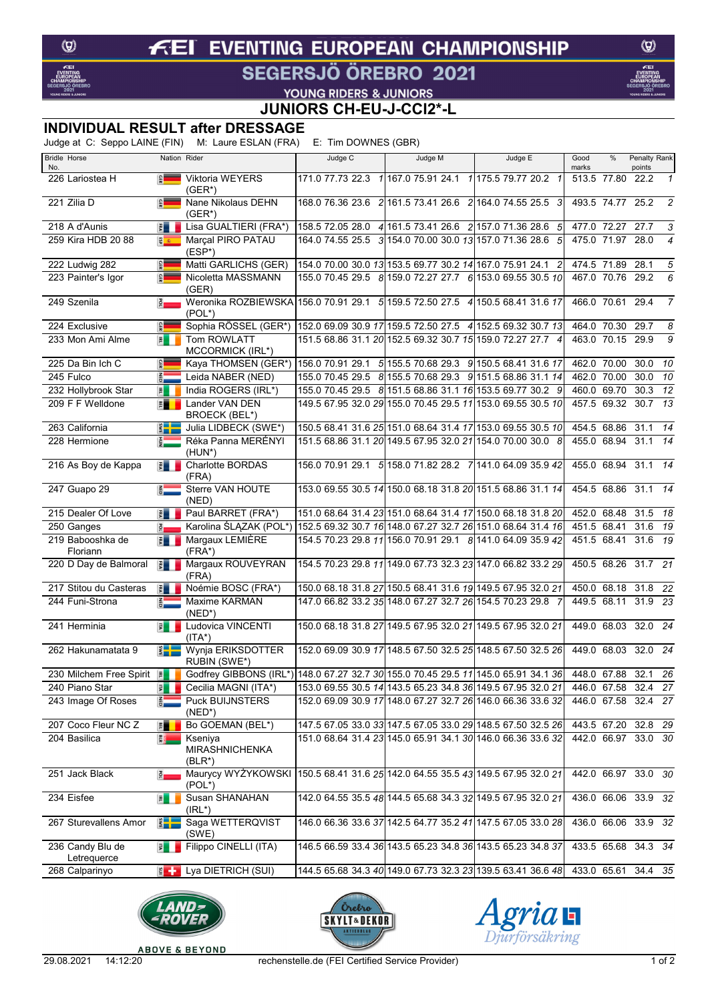### **EVENTING EUROPEAN CHAMPIONSHIP**  $f$ El

## SEGERSJÖ ÖREBRO 2021

 $\circledcirc$ 

# **VOUNG RIDERS & JUNIORS<br>JUNIORS CH-EU-J-CCI2\*-L**

### **INDIVIDUAL RESULT after DRESSAGE**

Judge at C: Seppo LAINE (FIN) M: Laure ESLAN (FRA) E: Tim DOWNES (GBR)

| <b>Bridle Horse</b>              |                               | Nation Rider                                                                            | Judge C                                                  | Judge M                                                 | Judge E                                                     | Good             | %                | Penalty Rank        |                |
|----------------------------------|-------------------------------|-----------------------------------------------------------------------------------------|----------------------------------------------------------|---------------------------------------------------------|-------------------------------------------------------------|------------------|------------------|---------------------|----------------|
| No.<br>226 Lariostea H           | $\frac{1}{2}$                 | Viktoria WEYERS                                                                         |                                                          |                                                         | 171.0 77.73 22.3 1 167.0 75.91 24.1 1 175.5 79.77 20.2 1    | marks            | 513.5 77.80      | points<br>22.2      | $\mathbf{1}$   |
|                                  |                               | $(GER^*)$                                                                               |                                                          |                                                         |                                                             |                  |                  |                     |                |
| 221 Zilia D                      | $\frac{1}{2}$                 | Nane Nikolaus DEHN<br>$(GER*)$                                                          |                                                          |                                                         | 168.0 76.36 23.6 2 161.5 73.41 26.6 2 164.0 74.55 25.5 3    |                  | 493.5 74.77 25.2 |                     | $\overline{c}$ |
| 218 A d'Aunis                    | 費                             | Lisa GUALTIERI (FRA*)                                                                   |                                                          |                                                         | 158.5 72.05 28.0 4 161.5 73.41 26.6 2 157.0 71.36 28.6 5    |                  | 477.0 72.27      | 27.7                | 3              |
| 259 Kira HDB 20 88               | 图案                            | Marçal PIRO PATAU<br>$(ESP^*)$                                                          |                                                          | 164.0 74.55 25.5 3 154.0 70.00 30.0 13 157.0 71.36 28.6 | 5                                                           |                  | 475.0 71.97      | 28.0                | $\overline{4}$ |
| 222 Ludwig 282                   | $\frac{1}{2}$                 | Matti GARLICHS (GER)                                                                    | 154.0 70.00 30.0 13 153.5 69.77 30.2 14 167.0 75.91 24.1 |                                                         | $\overline{c}$                                              | 474.5 71.89      |                  | 28.1                | 5              |
| 223 Painter's Igor               | $\frac{1}{2}$                 | Nicoletta MASSMANN<br>(GER)                                                             |                                                          |                                                         | 155.0 70.45 29.5 8 159.0 72.27 27.7 6 153.0 69.55 30.5 10   |                  | 467.0 70.76 29.2 |                     | 6              |
| 249 Szenila                      | $\frac{8}{2}$                 | Weronika ROZBIEWSKA 156.0 70.91 29.1 5 159.5 72.50 27.5 4 150.5 68.41 31.6 17<br>(POL*) |                                                          |                                                         |                                                             |                  | 466.0 70.61 29.4 |                     | $\overline{7}$ |
| 224 Exclusive                    | GER                           | Sophia RÖSSEL (GER*)                                                                    |                                                          |                                                         | 152.0 69.09 30.9 17 159.5 72.50 27.5 4 152.5 69.32 30.7 13  |                  | 464.0 70.30      | 29.7                | 8              |
| 233 Mon Ami Alme                 | 国                             | Tom ROWLATT<br>MCCORMICK (IRL*)                                                         |                                                          |                                                         | 151.5 68.86 31.1 20 152.5 69.32 30.7 15 159.0 72.27 27.7 4  |                  | 463.0 70.15      | 29.9                | 9              |
| 225 Da Bin Ich C                 | <b>GER</b>                    | Kaya THOMSEN (GER*)                                                                     |                                                          |                                                         | 156.0 70.91 29.1 5 155.5 70.68 29.3 9 150.5 68.41 31.6 17   | 462.0 70.00      |                  | 30.0                | 10             |
| 245 Fulco                        | <b>AED</b>                    | Leida NABER (NED)                                                                       |                                                          |                                                         | 155.0 70.45 29.5 8 155.5 70.68 29.3 9 151.5 68.86 31.1 14   |                  | 462.0 70.00      | 30.0                | 10             |
| 232 Hollybrook Star              | 国                             | India ROGERS (IRL*)                                                                     |                                                          |                                                         | 155.0 70.45 29.5 8 151.5 68.86 31.1 16 153.5 69.77 30.2 9   |                  | 460.0 69.70      | 30.3                | 12             |
| 209 F F Welldone                 | <b>FLE</b>                    | Lander VAN DEN<br><b>BROECK (BEL*)</b>                                                  |                                                          |                                                         | 149.5 67.95 32.0 29 155.0 70.45 29.5 11 153.0 69.55 30.5 10 |                  | 457.5 69.32      | 30.7                | 13             |
| 263 California                   | $\frac{2}{3}$ $\frac{1}{2}$   | Julia LIDBECK (SWE*)                                                                    |                                                          |                                                         | 150.5 68.41 31.6 25 151.0 68.64 31.4 17 153.0 69.55 30.5 10 | 454.5 68.86 31.1 |                  |                     | 14             |
| 228 Hermione                     | $\bar{\epsilon}$              | Réka Panna MERÉNYI<br>(HUN*)                                                            |                                                          |                                                         | 151.5 68.86 31.1 20 149.5 67.95 32.0 21 154.0 70.00 30.0 8  |                  | 455.0 68.94      | 31.1                | 14             |
| 216 As Boy de Kappa              | 要 - 「                         | Charlotte BORDAS<br>(FRA)                                                               |                                                          |                                                         | 156.0 70.91 29.1 5 158.0 71.82 28.2 7 141.0 64.09 35.9 42   |                  | 455.0 68.94      | 31.1                | 14             |
| 247 Guapo 29                     | $\frac{2}{9}$                 | Sterre VAN HOUTE<br>(NED)                                                               |                                                          |                                                         | 153.0 69.55 30.5 14 150.0 68.18 31.8 20 151.5 68.86 31.1 14 | 454.5 68.86 31.1 |                  |                     | 14             |
| 215 Dealer Of Love               | $\frac{1}{2}$                 | Paul BARRET (FRA*)                                                                      |                                                          |                                                         | 151.0 68.64 31.4 23 151.0 68.64 31.4 17 150.0 68.18 31.8 20 | 452.0 68.48      |                  | 31.5                | 18             |
| 250 Ganges                       | $\frac{3}{2}$                 | Karolina ŚLĄZAK (POL*)                                                                  |                                                          |                                                         | 152.5 69.32 30.7 16 148.0 67.27 32.7 26 151.0 68.64 31.4 16 |                  | 451.5 68.41      | 31.6                | 19             |
| 219 Babooshka de<br>Floriann     |                               | <b>F</b> Margaux LEMIÈRE<br>$(FRA^*)$                                                   |                                                          |                                                         | 154.5 70.23 29.8 11 156.0 70.91 29.1 8 141.0 64.09 35.9 42  |                  | 451.5 68.41      | 31.6                | 19             |
| 220 D Day de Balmoral            | 費用                            | Margaux ROUVEYRAN<br>(FRA)                                                              |                                                          |                                                         | 154.5 70.23 29.8 11 149.0 67.73 32.3 23 147.0 66.82 33.2 29 | 450.5 68.26      |                  | 31.7                | 21             |
| 217 Stitou du Casteras           | $\frac{1}{2}$                 | Noémie BOSC (FRA*)                                                                      |                                                          |                                                         | 150.0 68.18 31.8 27 150.5 68.41 31.6 19 149.5 67.95 32.0 21 |                  |                  | 450.0 68.18 31.8    | 22             |
| 244 Funi-Strona                  |                               | Maxime KARMAN<br>$(NED^*)$                                                              |                                                          |                                                         | 147.0 66.82 33.2 35 148.0 67.27 32.7 26 154.5 70.23 29.8 7  |                  | 449.5 68.11      | 31.9                | - 23           |
| 241 Herminia                     | 国                             | Ludovica VINCENTI<br>$(ITA*)$                                                           |                                                          |                                                         | 150.0 68.18 31.8 27 149.5 67.95 32.0 21 149.5 67.95 32.0 21 |                  |                  | 449.0 68.03 32.0 24 |                |
| 262 Hakunamatata 9               | $\frac{2}{3}$                 | Wynja ERIKSDOTTER<br>RUBIN (SWE*)                                                       |                                                          |                                                         | 152.0 69.09 30.9 17 148.5 67.50 32.5 25 148.5 67.50 32.5 26 | 449.0 68.03      |                  | 32.0                | 24             |
| 230 Milchem Free Spirit <b>P</b> |                               | Godfrey GIBBONS (IRL*) 148.0 67.27 32.7 30 155.0 70.45 29.5 11 145.0 65.91 34.1 36      |                                                          |                                                         |                                                             |                  |                  | 448.0 67.88 32.1 26 |                |
| 240 Piano Star                   | 国                             | Cecilia MAGNI (ITA*)                                                                    |                                                          |                                                         | 153.0 69.55 30.5 14 143.5 65.23 34.8 36 149.5 67.95 32.0 21 |                  |                  | 446.0 67.58 32.4 27 |                |
| 243 Image Of Roses               | $rac{1}{100}$                 | Puck BUIJNSTERS<br>$(NED^*)$                                                            |                                                          |                                                         | 152.0 69.09 30.9 17 148.0 67.27 32.7 26 146.0 66.36 33.6 32 |                  |                  | 446.0 67.58 32.4 27 |                |
| 207 Coco Fleur NC Z              | 門                             | Bo GOEMAN (BEL*)                                                                        |                                                          |                                                         | 147.5 67.05 33.0 33 147.5 67.05 33.0 29 148.5 67.50 32.5 26 |                  |                  | 443.5 67.20 32.8 29 |                |
| 204 Basilica                     | 農                             | Kseniya<br><b>MIRASHNICHENKA</b><br>$(BLR^*)$                                           |                                                          |                                                         | 151.0 68.64 31.4 23 145.0 65.91 34.1 30 146.0 66.36 33.6 32 |                  |                  | 442.0 66.97 33.0 30 |                |
| 251 Jack Black                   | $\frac{3}{2}$                 | Maurycy WYŻYKOWSKI<br>$(POL^*)$                                                         |                                                          |                                                         | 150.5 68.41 31.6 25 142.0 64.55 35.5 43 149.5 67.95 32.0 21 |                  |                  | 442.0 66.97 33.0 30 |                |
| 234 Eisfee                       | 国                             | Susan SHANAHAN<br>$(IRL^*)$                                                             |                                                          |                                                         | 142.0 64.55 35.5 48 144.5 65.68 34.3 32 149.5 67.95 32.0 21 |                  |                  | 436.0 66.06 33.9 32 |                |
| 267 Sturevallens Amor            | $\frac{2}{3}$ – $\frac{1}{2}$ | Saga WETTERQVIST<br>(SWE)                                                               |                                                          |                                                         | 146.0 66.36 33.6 37 142.5 64.77 35.2 41 147.5 67.05 33.0 28 |                  |                  | 436.0 66.06 33.9 32 |                |
| 236 Candy Blu de<br>Letrequerce  | 見上                            | Filippo CINELLI (ITA)                                                                   |                                                          |                                                         | 146.5 66.59 33.4 36 143.5 65.23 34.8 36 143.5 65.23 34.8 37 |                  |                  | 433.5 65.68 34.3 34 |                |
| 268 Calparinyo                   |                               | $\left  \frac{1}{2} \right $ Lya DIETRICH (SUI)                                         |                                                          |                                                         | 144.5 65.68 34.3 40 149.0 67.73 32.3 23 139.5 63.41 36.6 48 |                  |                  | 433.0 65.61 34.4 35 |                |